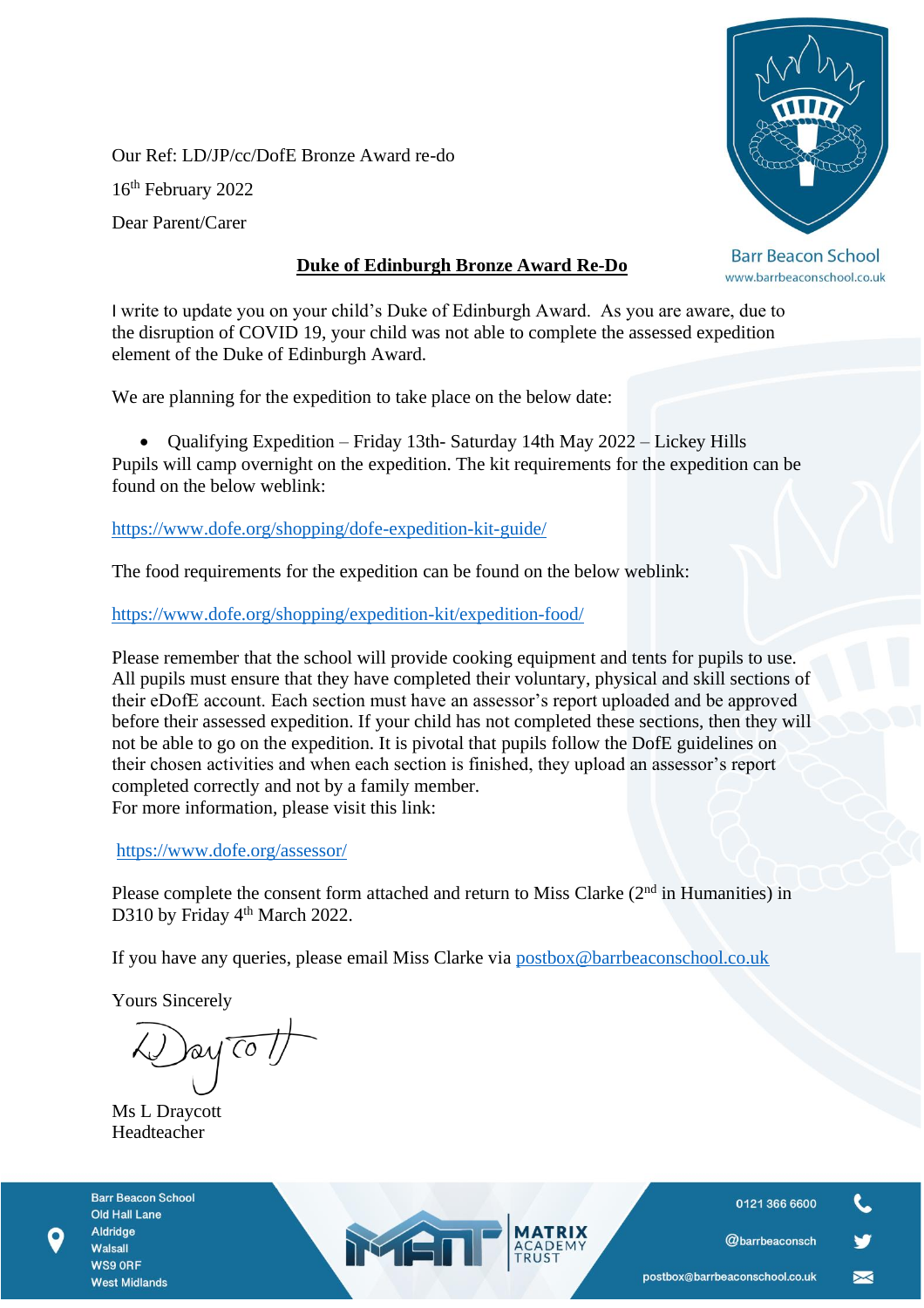Our Ref: LD/JP/cc/DofE Bronze Award re-do 16th February 2022 Dear Parent/Carer

## **Duke of Edinburgh Bronze Award Re-Do**



**Barr Beacon School** www.barrbeaconschool.co.uk

I write to update you on your child's Duke of Edinburgh Award. As you are aware, due to the disruption of COVID 19, your child was not able to complete the assessed expedition element of the Duke of Edinburgh Award.

We are planning for the expedition to take place on the below date:

• Qualifying Expedition – Friday 13th- Saturday 14th May 2022 – Lickey Hills Pupils will camp overnight on the expedition. The kit requirements for the expedition can be found on the below weblink:

<https://www.dofe.org/shopping/dofe-expedition-kit-guide/>

The food requirements for the expedition can be found on the below weblink:

<https://www.dofe.org/shopping/expedition-kit/expedition-food/>

Please remember that the school will provide cooking equipment and tents for pupils to use. All pupils must ensure that they have completed their voluntary, physical and skill sections of their eDofE account. Each section must have an assessor's report uploaded and be approved before their assessed expedition. If your child has not completed these sections, then they will not be able to go on the expedition. It is pivotal that pupils follow the DofE guidelines on their chosen activities and when each section is finished, they upload an assessor's report completed correctly and not by a family member. For more information, please visit this link:

<https://www.dofe.org/assessor/>

Please complete the consent form attached and return to Miss Clarke  $(2<sup>nd</sup>$  in Humanities) in D310 by Friday 4<sup>th</sup> March 2022.

If you have any queries, please email Miss Clarke via [postbox@barrbeaconschool.co.uk](mailto:postbox@barrbeaconschool.co.uk)

MEN

Yours Sincerely

ay To

Ms L Draycott Headteacher

**Barr Beacon School Old Hall Lane** Aldridge Walsall WS9 ORF **West Midlands** 

0121 366 6600

@barrbeaconsch